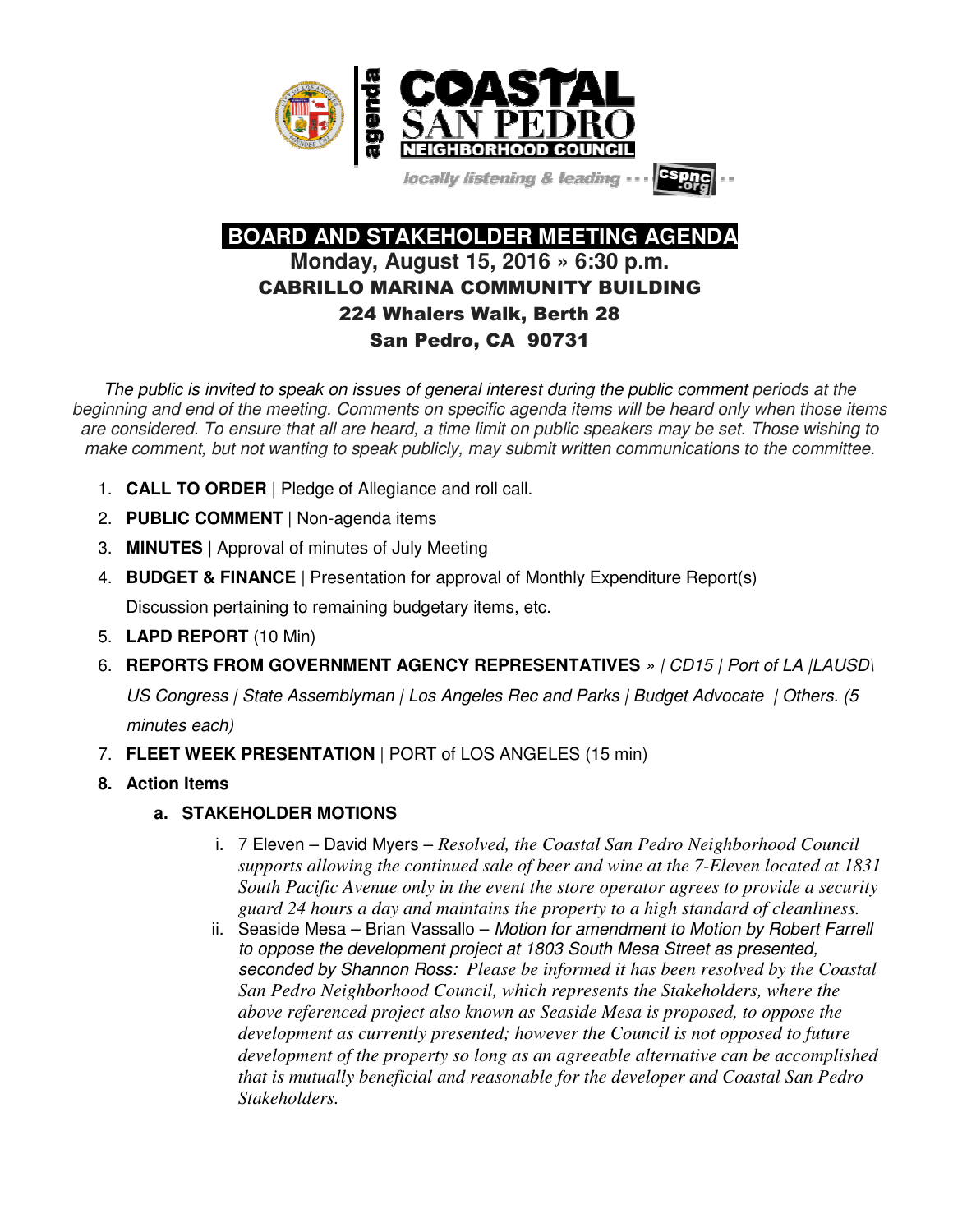

locally listening & leading -



 **BOARD AND STAKEHOLDER MEETING AGENDA Monday, August 15, 2016 » 6:30 p.m.**  CABRILLO MARINA COMMUNITY BUILDING 224 Whalers Walk, Berth 28 San Pedro, CA 90731

*The public is invited to speak on issues of general interest during the public comment periods at the beginning and end of the meeting. Comments on specific agenda items will be heard only when those items are considered. To ensure that all are heard, a time limit on public speakers may be set. Those wishing to make comment, but not wanting to speak publicly, may submit written communications to the committee.*

- 1. **CALL TO ORDER** | Pledge of Allegiance and roll call.
- 2. **PUBLIC COMMENT** | Non-agenda items
- 3. **MINUTES** | Approval of minutes of July Meeting
- 4. **BUDGET & FINANCE** | Presentation for approval of Monthly Expenditure Report(s)

Discussion pertaining to remaining budgetary items, etc.

- 5. **LAPD REPORT** (10 Min)
- 6. **REPORTS FROM GOVERNMENT AGENCY REPRESENTATIVES** *» | CD15 | Port of LA |LAUSD\*

*US Congress | State Assemblyman | Los Angeles Rec and Parks | Budget Advocate | Others. (5* 

*minutes each)*

- 7. **FLEET WEEK PRESENTATION** | PORT of LOS ANGELES (15 min)
- **8. Action Items** 
	- **a. STAKEHOLDER MOTIONS** 
		- i. 7 Eleven David Myers *Resolved, the Coastal San Pedro Neighborhood Council supports allowing the continued sale of beer and wine at the 7-Eleven located at 1831 South Pacific Avenue only in the event the store operator agrees to provide a security guard 24 hours a day and maintains the property to a high standard of cleanliness.*
		- ii. Seaside Mesa Brian Vassallo *Motion for amendment to Motion by Robert Farrell to oppose the development project at 1803 South Mesa Street as presented, seconded by Shannon Ross: Please be informed it has been resolved by the Coastal San Pedro Neighborhood Council, which represents the Stakeholders, where the above referenced project also known as Seaside Mesa is proposed, to oppose the development as currently presented; however the Council is not opposed to future development of the property so long as an agreeable alternative can be accomplished that is mutually beneficial and reasonable for the developer and Coastal San Pedro Stakeholders.*